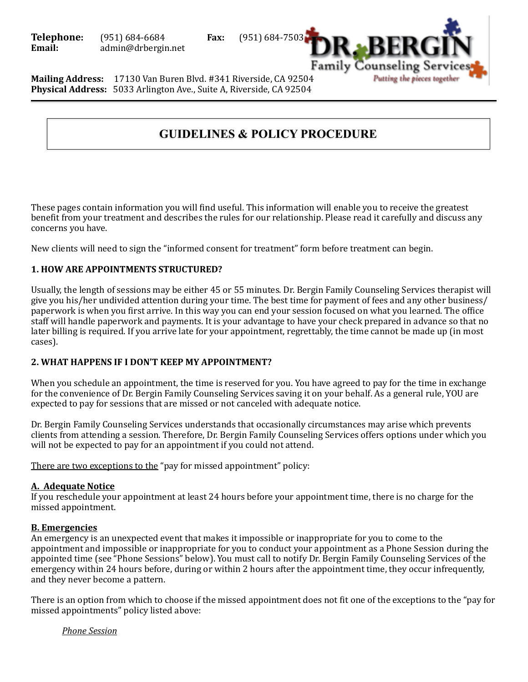

**Mailing Address:** 17130 Van Buren Blvd. #341 Riverside, CA 92504 **Physical Address:** 5033 Arlington Ave., Suite A, Riverside, CA 92504

# **GUIDELINES & POLICY PROCEDURE**

These pages contain information you will find useful. This information will enable you to receive the greatest benefit from your treatment and describes the rules for our relationship. Please read it carefully and discuss any concerns you have.

New clients will need to sign the "informed consent for treatment" form before treatment can begin.

# **1. HOW ARE APPOINTMENTS STRUCTURED?**

Usually, the length of sessions may be either 45 or 55 minutes. Dr. Bergin Family Counseling Services therapist will give you his/her undivided attention during your time. The best time for payment of fees and any other business/ paperwork is when you first arrive. In this way you can end your session focused on what you learned. The office staff will handle paperwork and payments. It is your advantage to have your check prepared in advance so that no later billing is required. If you arrive late for your appointment, regrettably, the time cannot be made up (in most cases). 

# **2. WHAT HAPPENS IF I DON'T KEEP MY APPOINTMENT?**

When you schedule an appointment, the time is reserved for you. You have agreed to pay for the time in exchange for the convenience of Dr. Bergin Family Counseling Services saving it on your behalf. As a general rule, YOU are expected to pay for sessions that are missed or not canceled with adequate notice.

Dr. Bergin Family Counseling Services understands that occasionally circumstances may arise which prevents clients from attending a session. Therefore, Dr. Bergin Family Counseling Services offers options under which you will not be expected to pay for an appointment if you could not attend.

There are two exceptions to the "pay for missed appointment" policy:

# **A. Adequate Notice**

If you reschedule your appointment at least 24 hours before your appointment time, there is no charge for the missed appointment. 

# **B. Emergencies**

An emergency is an unexpected event that makes it impossible or inappropriate for you to come to the appointment and impossible or inappropriate for you to conduct your appointment as a Phone Session during the appointed time (see "Phone Sessions" below). You must call to notify Dr. Bergin Family Counseling Services of the emergency within 24 hours before, during or within 2 hours after the appointment time, they occur infrequently, and they never become a pattern.

There is an option from which to choose if the missed appointment does not fit one of the exceptions to the "pay for missed appointments" policy listed above:

*Phone Session*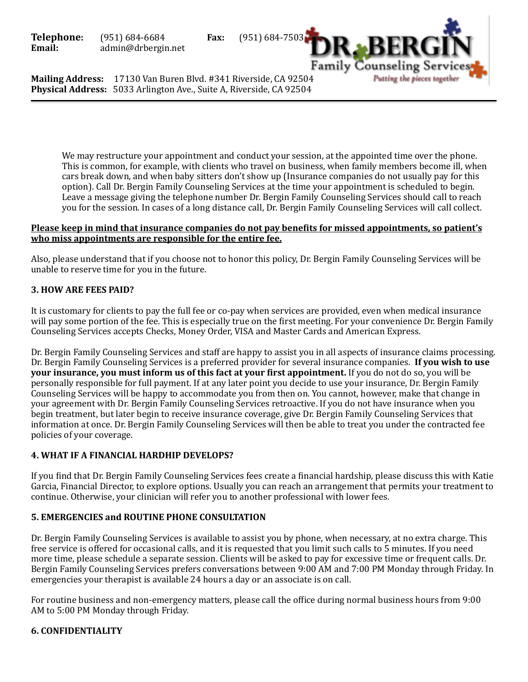

**Mailing Address:** 17130 Van Buren Blvd. #341 Riverside, CA 92504 **Physical Address:** 5033 Arlington Ave., Suite A, Riverside, CA 92504

> We may restructure your appointment and conduct your session, at the appointed time over the phone. This is common, for example, with clients who travel on business, when family members become ill, when cars break down, and when baby sitters don't show up (Insurance companies do not usually pay for this option). Call Dr. Bergin Family Counseling Services at the time your appointment is scheduled to begin. Leave a message giving the telephone number Dr. Bergin Family Counseling Services should call to reach you for the session. In cases of a long distance call, Dr. Bergin Family Counseling Services will call collect.

## **Please keep in mind that insurance companies do not pay benefits for missed appointments, so patient's** who miss appointments are responsible for the entire fee.

Also, please understand that if you choose not to honor this policy, Dr. Bergin Family Counseling Services will be unable to reserve time for you in the future.

# **3. HOW ARE FEES PAID?**

It is customary for clients to pay the full fee or co-pay when services are provided, even when medical insurance will pay some portion of the fee. This is especially true on the first meeting. For your convenience Dr. Bergin Family Counseling Services accepts Checks, Money Order, VISA and Master Cards and American Express.

Dr. Bergin Family Counseling Services and staff are happy to assist you in all aspects of insurance claims processing. Dr. Bergin Family Counseling Services is a preferred provider for several insurance companies. **If you wish to use your insurance, you must inform us of this fact at your first appointment.** If you do not do so, you will be personally responsible for full payment. If at any later point you decide to use your insurance, Dr. Bergin Family Counseling Services will be happy to accommodate you from then on. You cannot, however, make that change in your agreement with Dr. Bergin Family Counseling Services retroactive. If you do not have insurance when you begin treatment, but later begin to receive insurance coverage, give Dr. Bergin Family Counseling Services that information at once. Dr. Bergin Family Counseling Services will then be able to treat you under the contracted fee policies of your coverage.

# **4. WHAT IF A FINANCIAL HARDHIP DEVELOPS?**

If you find that Dr. Bergin Family Counseling Services fees create a financial hardship, please discuss this with Katie Garcia, Financial Director, to explore options. Usually you can reach an arrangement that permits your treatment to continue. Otherwise, your clinician will refer you to another professional with lower fees.

## **5. EMERGENCIES and ROUTINE PHONE CONSULTATION**

Dr. Bergin Family Counseling Services is available to assist you by phone, when necessary, at no extra charge. This free service is offered for occasional calls, and it is requested that you limit such calls to 5 minutes. If you need more time, please schedule a separate session. Clients will be asked to pay for excessive time or frequent calls. Dr. Bergin Family Counseling Services prefers conversations between 9:00 AM and 7:00 PM Monday through Friday. In emergencies your therapist is available 24 hours a day or an associate is on call.

For routine business and non-emergency matters, please call the office during normal business hours from 9:00 AM to 5:00 PM Monday through Friday.

## **6. CONFIDENTIALITY**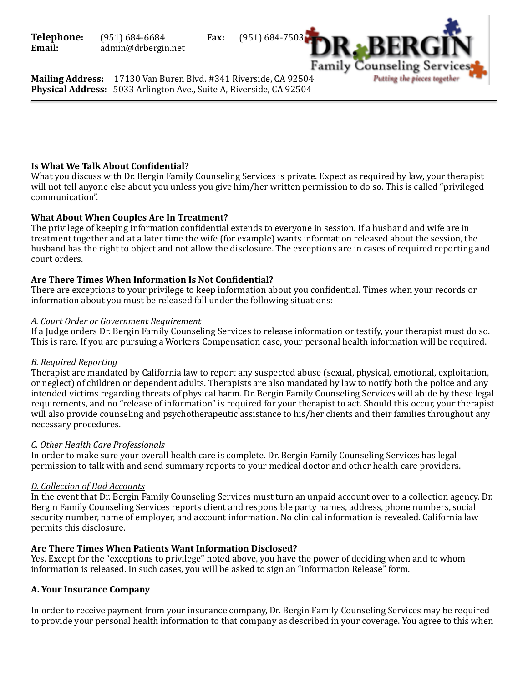

**Mailing Address:** 17130 Van Buren Blvd. #341 Riverside, CA 92504 **Physical Address:** 5033 Arlington Ave., Suite A, Riverside, CA 92504

# **Is What We Talk About Confidential?**

What you discuss with Dr. Bergin Family Counseling Services is private. Expect as required by law, your therapist will not tell anyone else about you unless you give him/her written permission to do so. This is called "privileged" communication". 

## **What About When Couples Are In Treatment?**

The privilege of keeping information confidential extends to everyone in session. If a husband and wife are in treatment together and at a later time the wife (for example) wants information released about the session, the husband has the right to object and not allow the disclosure. The exceptions are in cases of required reporting and court orders.

## Are There Times When Information Is Not Confidential?

There are exceptions to your privilege to keep information about you confidential. Times when your records or information about you must be released fall under the following situations:

## *A. Court Order or Government Requirement*

If a Judge orders Dr. Bergin Family Counseling Services to release information or testify, your therapist must do so. This is rare. If you are pursuing a Workers Compensation case, your personal health information will be required.

## *B. Required Reporting*

Therapist are mandated by California law to report any suspected abuse (sexual, physical, emotional, exploitation, or neglect) of children or dependent adults. Therapists are also mandated by law to notify both the police and any intended victims regarding threats of physical harm. Dr. Bergin Family Counseling Services will abide by these legal requirements, and no "release of information" is required for your therapist to act. Should this occur, your therapist will also provide counseling and psychotherapeutic assistance to his/her clients and their families throughout any necessary procedures.

## *C. Other Health Care Professionals*

In order to make sure your overall health care is complete. Dr. Bergin Family Counseling Services has legal permission to talk with and send summary reports to your medical doctor and other health care providers.

## *D. Collection of Bad Accounts*

In the event that Dr. Bergin Family Counseling Services must turn an unpaid account over to a collection agency. Dr. Bergin Family Counseling Services reports client and responsible party names, address, phone numbers, social security number, name of employer, and account information. No clinical information is revealed. California law permits this disclosure.

## Are There Times When Patients Want Information Disclosed?

Yes. Except for the "exceptions to privilege" noted above, you have the power of deciding when and to whom information is released. In such cases, you will be asked to sign an "information Release" form.

# **A. Your Insurance Company**

In order to receive payment from your insurance company, Dr. Bergin Family Counseling Services may be required to provide your personal health information to that company as described in your coverage. You agree to this when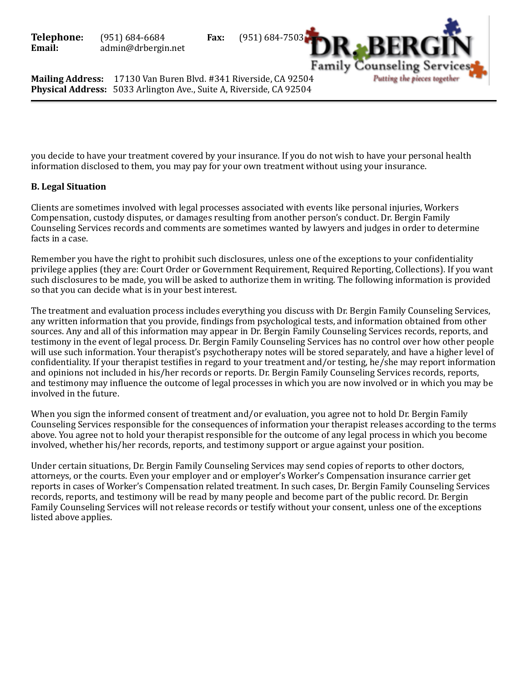

**Mailing Address:** 17130 Van Buren Blvd. #341 Riverside, CA 92504 **Physical Address:** 5033 Arlington Ave., Suite A, Riverside, CA 92504

you decide to have your treatment covered by your insurance. If you do not wish to have your personal health information disclosed to them, you may pay for your own treatment without using your insurance.

# **B. Legal Situation**

Clients are sometimes involved with legal processes associated with events like personal injuries, Workers Compensation, custody disputes, or damages resulting from another person's conduct. Dr. Bergin Family Counseling Services records and comments are sometimes wanted by lawyers and judges in order to determine facts in a case.

Remember you have the right to prohibit such disclosures, unless one of the exceptions to your confidentiality privilege applies (they are: Court Order or Government Requirement, Required Reporting, Collections). If you want such disclosures to be made, you will be asked to authorize them in writing. The following information is provided so that you can decide what is in your best interest.

The treatment and evaluation process includes everything you discuss with Dr. Bergin Family Counseling Services, any written information that you provide, findings from psychological tests, and information obtained from other sources. Any and all of this information may appear in Dr. Bergin Family Counseling Services records, reports, and testimony in the event of legal process. Dr. Bergin Family Counseling Services has no control over how other people will use such information. Your therapist's psychotherapy notes will be stored separately, and have a higher level of confidentiality. If your therapist testifies in regard to your treatment and/or testing, he/she may report information and opinions not included in his/her records or reports. Dr. Bergin Family Counseling Services records, reports, and testimony may influence the outcome of legal processes in which you are now involved or in which you may be involved in the future.

When you sign the informed consent of treatment and/or evaluation, you agree not to hold Dr. Bergin Family Counseling Services responsible for the consequences of information your therapist releases according to the terms above. You agree not to hold your therapist responsible for the outcome of any legal process in which you become involved, whether his/her records, reports, and testimony support or argue against your position.

Under certain situations, Dr. Bergin Family Counseling Services may send copies of reports to other doctors, attorneys, or the courts. Even your employer and or employer's Worker's Compensation insurance carrier get reports in cases of Worker's Compensation related treatment. In such cases, Dr. Bergin Family Counseling Services records, reports, and testimony will be read by many people and become part of the public record. Dr. Bergin Family Counseling Services will not release records or testify without your consent, unless one of the exceptions listed above applies.